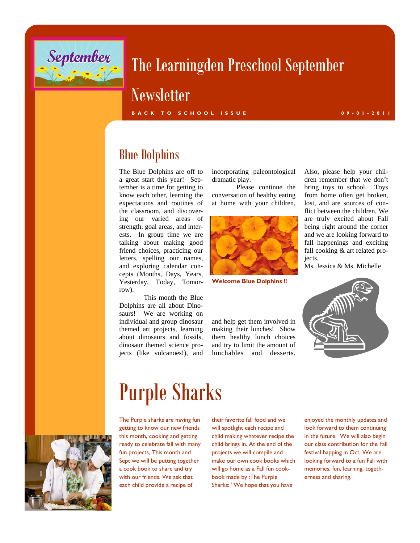

### The Learningden Preschool September

### **Newsletter**

**BACK TO SCHOOL ISSUE 09-01-2011** 

### Blue Dolphins

The Blue Dolphins are off to a great start this year! September is a time for getting to know each other, learning the expectations and routines of the classroom, and discovering our varied areas of strength, goal areas, and interests. In group time we are talking about making good friend choices, practicing our letters, spelling our names, and exploring calendar concepts (Months, Days, Years, Yesterday, Today, Tomorrow).

 This month the Blue Dolphins are all about Dinosaurs! We are working on individual and group dinosaur themed art projects, learning about dinosaurs and fossils, dinosaur themed science projects (like volcanoes!), and

incorporating paleontological dramatic play.

 Please continue the conversation of healthy eating at home with your children,



**Welcome Blue Dolphins !!** 

and help get them involved in making their lunches! Show them healthy lunch choices and try to limit the amount of lunchables and desserts.

dren remember that we don't bring toys to school. Toys from home often get broken, lost, and are sources of conflict between the children. We are truly excited about Fall being right around the corner and we are looking forward to fall happenings and exciting fall cooking & art related projects.

Also, please help your chil-

Ms. Jessica & Ms. Michelle



### Purple Sharks



The Purple sharks are having fun getting to know our new friends this month, cooking and getting ready to celebrate fall with many fun projects, This month and Sept we will be putting together a cook book to share and try with our friends. We ask that each child provide a recipe of

their favorite fall food and we will spotlight each recipe and child making whatever recipe the child brings in. At the end of the projects we will compile and make our own cook books which will go home as a Fall fun cookbook made by :The Purple Sharks: "We hope that you have

enjoyed the monthly updates and look forward to them continuing in the future. We will also begin our class contribution for the Fall festival happing in Oct, We are looking forward to a fun Fall with memories, fun, learning, togetherness and sharing.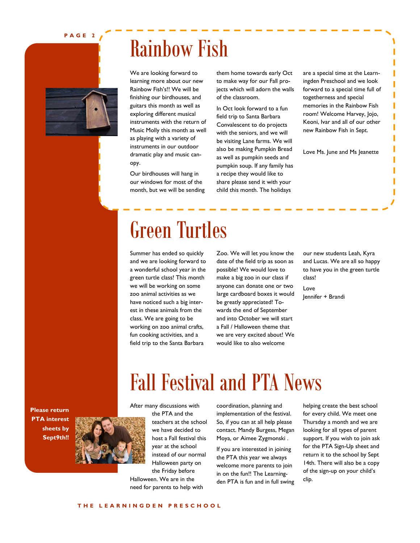#### **PAGE 2**



## Rainbow Fish

We are looking forward to learning more about our new Rainbow Fish's!! We will be finishing our birdhouses, and guitars this month as well as exploring different musical instruments with the return of Music Molly this month as well as playing with a variety of instruments in our outdoor dramatic play and music canopy.

Our birdhouses will hang in our windows for most of the month, but we will be sending them home towards early Oct to make way for our Fall projects which will adorn the walls of the classroom.

In Oct look forward to a fun field trip to Santa Barbara Convalescent to do projects with the seniors, and we will be visiting Lane farms. We will also be making Pumpkin Bread as well as pumpkin seeds and pumpkin soup. If any family has a recipe they would like to share please send it with your child this month. The holidays

are a special time at the Learningden Preschool and we look forward to a special time full of togetherness and special memories in the Rainbow Fish room! Welcome Harvey, Jojo, Keoni, Ivar and all of our other new Rainbow Fish in Sept.

Love Ms. June and Ms Jeanette

# Green Turtles

Summer has ended so quickly and we are looking forward to a wonderful school year in the green turtle class! This month we will be working on some zoo animal activities as we have noticed such a big interest in these animals from the class. We are going to be working on zoo animal crafts, fun cooking activities, and a field trip to the Santa Barbara

Zoo. We will let you know the date of the field trip as soon as possible! We would love to make a big zoo in our class if anyone can donate one or two large cardboard boxes it would be greatly appreciated! Towards the end of September and into October we will start a Fall / Halloween theme that we are very excited about! We would like to also welcome

our new students Leah, Kyra and Lucas. We are all so happy to have you in the green turtle class!

Love Jennifer + Brandi

**Please return PTA interest sheets by Sept9th!!** 



After many discussions with

the PTA and the teachers at the school we have decided to host a Fall festival this year at the school instead of our normal Halloween party on the Friday before

Halloween. We are in the need for parents to help with coordination, planning and implementation of the festival. So, if you can at all help please contact. Mandy Burgess, Megan Moya, or Aimee Zygmonski .

Fall Festival and PTA News

If you are interested in joining the PTA this year we always welcome more parents to join in on the fun!! The Learningden PTA is fun and in full swing helping create the best school for every child. We meet one Thursday a month and we are looking for all types of parent support. If you wish to join ask for the PTA Sign-Up sheet and return it to the school by Sept 14th. There will also be a copy of the sign-up on your child's clip.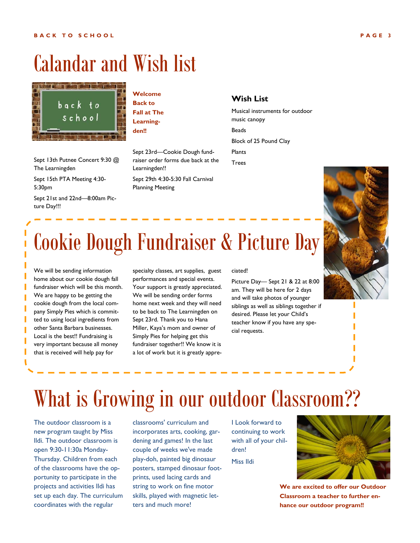### Calandar and Wish list



#### **Welcome Back to Fall at The Learningden!!**

Sept 13th Putnee Concert 9:30 @ The Learningden

Sept 15th PTA Meeting 4:30- 5:30pm

Sept 21st and 22nd—8:00am Picture Day!!!

Sept 23rd—Cookie Dough fundraiser order forms due back at the Learningden!!

Sept 29th 4:30-5:30 Fall Carnival Planning Meeting

#### **Wish List**

Musical instruments for outdoor music canopy Beads Block of 25 Pound Clay

Plants

Trees



# Cookie Dough Fundraiser & Picture Day

We will be sending information home about our cookie dough fall fundraiser which will be this month. We are happy to be getting the cookie dough from the local company Simply Pies which is committed to using local ingredients from other Santa Barbara businesses. Local is the best!! Fundraising is very important because all money that is received will help pay for

specialty classes, art supplies, guest performances and special events. Your support is greatly appreciated. We will be sending order forms home next week and they will need to be back to The Learningden on Sept 23rd. Thank you to Hana Miller, Kaya's mom and owner of Simply Pies for helping get this fundraiser together!! We know it is a lot of work but it is greatly appre-

#### ciated!

Picture Day— Sept 21 & 22 at 8:00 am. They will be here for 2 days and will take photos of younger siblings as well as siblings together if desired. Please let your Child's teacher know if you have any special requests.

# What is Growing in our outdoor Classroom??

The outdoor classroom is a new program taught by Miss Ildi. The outdoor classroom is open 9:30-11:30a Monday-Thursday. Children from each of the classrooms have the opportunity to participate in the projects and activities Ildi has set up each day. The curriculum coordinates with the regular

classrooms' curriculum and incorporates arts, cooking, gardening and games! In the last couple of weeks we've made play-doh, painted big dinosaur posters, stamped dinosaur footprints, used lacing cards and string to work on fine motor skills, played with magnetic letters and much more!

I Look forward to continuing to work with all of your children!

Miss Ildi



**We are excited to offer our Outdoor Classroom a teacher to further enhance our outdoor program!!**